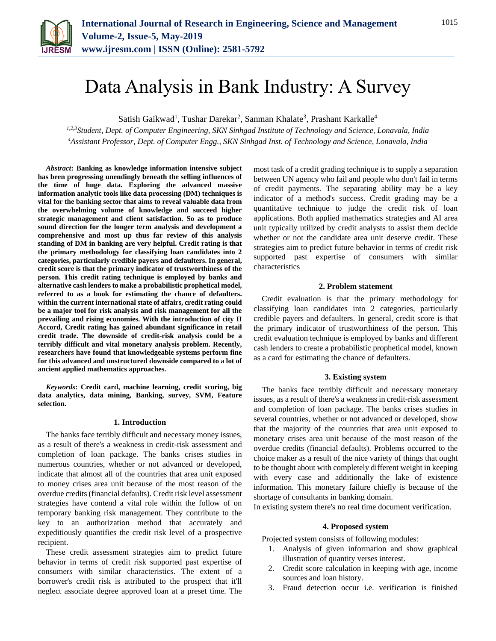

# Data Analysis in Bank Industry: A Survey

Satish Gaikwad<sup>1</sup>, Tushar Darekar<sup>2</sup>, Sanman Khalate<sup>3</sup>, Prashant Karkalle<sup>4</sup>

*1,2,3Student, Dept. of Computer Engineering, SKN Sinhgad Institute of Technology and Science, Lonavala, India <sup>4</sup>Assistant Professor, Dept. of Computer Engg., SKN Sinhgad Inst. of Technology and Science, Lonavala, India*

*Abstract***: Banking as knowledge information intensive subject has been progressing unendingly beneath the selling influences of the time of huge data. Exploring the advanced massive information analytic tools like data processing (DM) techniques is vital for the banking sector that aims to reveal valuable data from the overwhelming volume of knowledge and succeed higher strategic management and client satisfaction. So as to produce sound direction for the longer term analysis and development a comprehensive and most up thus far review of this analysis standing of DM in banking are very helpful. Credit rating is that the primary methodology for classifying loan candidates into 2 categories, particularly credible payers and defaulters. In general, credit score is that the primary indicator of trustworthiness of the person. This credit rating technique is employed by banks and alternative cash lenders to make a probabilistic prophetical model, referred to as a book for estimating the chance of defaulters. within the current international state of affairs, credit rating could be a major tool for risk analysis and risk management for all the prevailing and rising economies. With the introduction of city II Accord, Credit rating has gained abundant significance in retail credit trade. The downside of credit-risk analysis could be a terribly difficult and vital monetary analysis problem. Recently, researchers have found that knowledgeable systems perform fine for this advanced and unstructured downside compared to a lot of ancient applied mathematics approaches.**

*Keywords***: Credit card, machine learning, credit scoring, big data analytics, data mining, Banking, survey, SVM, Feature selection.**

### **1. Introduction**

The banks face terribly difficult and necessary money issues, as a result of there's a weakness in credit-risk assessment and completion of loan package. The banks crises studies in numerous countries, whether or not advanced or developed, indicate that almost all of the countries that area unit exposed to money crises area unit because of the most reason of the overdue credits (financial defaults). Credit risk level assessment strategies have contend a vital role within the follow of on temporary banking risk management. They contribute to the key to an authorization method that accurately and expeditiously quantifies the credit risk level of a prospective recipient.

These credit assessment strategies aim to predict future behavior in terms of credit risk supported past expertise of consumers with similar characteristics. The extent of a borrower's credit risk is attributed to the prospect that it'll neglect associate degree approved loan at a preset time. The most task of a credit grading technique is to supply a separation between UN agency who fail and people who don't fail in terms of credit payments. The separating ability may be a key indicator of a method's success. Credit grading may be a quantitative technique to judge the credit risk of loan applications. Both applied mathematics strategies and AI area unit typically utilized by credit analysts to assist them decide whether or not the candidate area unit deserve credit. These strategies aim to predict future behavior in terms of credit risk supported past expertise of consumers with similar characteristics

## **2. Problem statement**

Credit evaluation is that the primary methodology for classifying loan candidates into 2 categories, particularly credible payers and defaulters. In general, credit score is that the primary indicator of trustworthiness of the person. This credit evaluation technique is employed by banks and different cash lenders to create a probabilistic prophetical model, known as a card for estimating the chance of defaulters.

# **3. Existing system**

The banks face terribly difficult and necessary monetary issues, as a result of there's a weakness in credit-risk assessment and completion of loan package. The banks crises studies in several countries, whether or not advanced or developed, show that the majority of the countries that area unit exposed to monetary crises area unit because of the most reason of the overdue credits (financial defaults). Problems occurred to the choice maker as a result of the nice variety of things that ought to be thought about with completely different weight in keeping with every case and additionally the lake of existence information. This monetary failure chiefly is because of the shortage of consultants in banking domain.

In existing system there's no real time document verification.

#### **4. Proposed system**

Projected system consists of following modules:

- 1. Analysis of given information and show graphical illustration of quantity verses interest.
- 2. Credit score calculation in keeping with age, income sources and loan history.
- 3. Fraud detection occur i.e. verification is finished